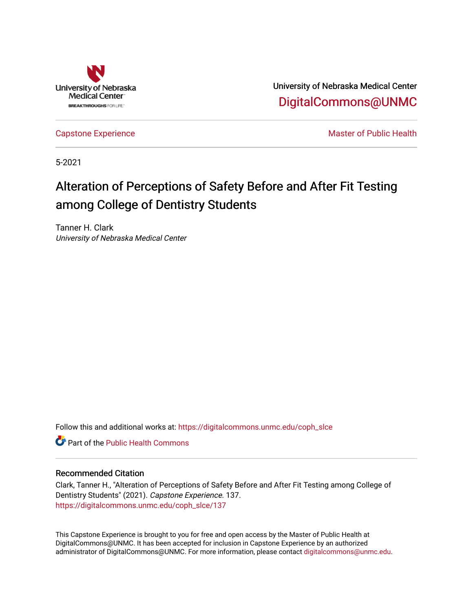

University of Nebraska Medical Center [DigitalCommons@UNMC](https://digitalcommons.unmc.edu/) 

[Capstone Experience](https://digitalcommons.unmc.edu/coph_slce) Master of Public Health

5-2021

# Alteration of Perceptions of Safety Before and After Fit Testing among College of Dentistry Students

Tanner H. Clark University of Nebraska Medical Center

Follow this and additional works at: [https://digitalcommons.unmc.edu/coph\\_slce](https://digitalcommons.unmc.edu/coph_slce?utm_source=digitalcommons.unmc.edu%2Fcoph_slce%2F137&utm_medium=PDF&utm_campaign=PDFCoverPages) 

**C** Part of the Public Health Commons

# Recommended Citation

Clark, Tanner H., "Alteration of Perceptions of Safety Before and After Fit Testing among College of Dentistry Students" (2021). Capstone Experience. 137. [https://digitalcommons.unmc.edu/coph\\_slce/137](https://digitalcommons.unmc.edu/coph_slce/137?utm_source=digitalcommons.unmc.edu%2Fcoph_slce%2F137&utm_medium=PDF&utm_campaign=PDFCoverPages) 

This Capstone Experience is brought to you for free and open access by the Master of Public Health at DigitalCommons@UNMC. It has been accepted for inclusion in Capstone Experience by an authorized administrator of DigitalCommons@UNMC. For more information, please contact [digitalcommons@unmc.edu](mailto:digitalcommons@unmc.edu).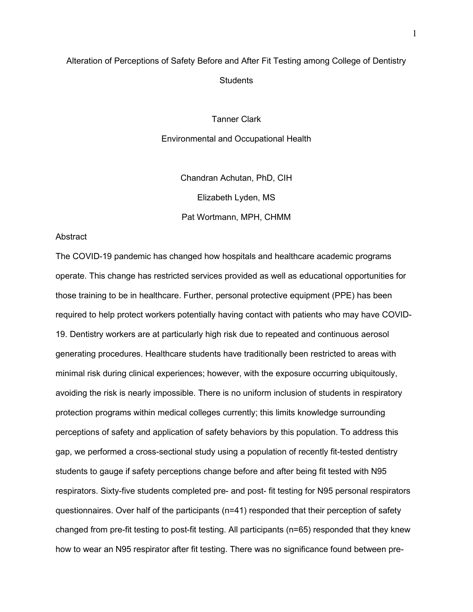# Alteration of Perceptions of Safety Before and After Fit Testing among College of Dentistry **Students**

Tanner Clark

Environmental and Occupational Health

Chandran Achutan, PhD, CIH Elizabeth Lyden, MS Pat Wortmann, MPH, CHMM

### **Abstract**

The COVID-19 pandemic has changed how hospitals and healthcare academic programs operate. This change has restricted services provided as well as educational opportunities for those training to be in healthcare. Further, personal protective equipment (PPE) has been required to help protect workers potentially having contact with patients who may have COVID-19. Dentistry workers are at particularly high risk due to repeated and continuous aerosol generating procedures. Healthcare students have traditionally been restricted to areas with minimal risk during clinical experiences; however, with the exposure occurring ubiquitously, avoiding the risk is nearly impossible. There is no uniform inclusion of students in respiratory protection programs within medical colleges currently; this limits knowledge surrounding perceptions of safety and application of safety behaviors by this population. To address this gap, we performed a cross-sectional study using a population of recently fit-tested dentistry students to gauge if safety perceptions change before and after being fit tested with N95 respirators. Sixty-five students completed pre- and post- fit testing for N95 personal respirators questionnaires. Over half of the participants (n=41) responded that their perception of safety changed from pre-fit testing to post-fit testing. All participants (n=65) responded that they knew how to wear an N95 respirator after fit testing. There was no significance found between pre-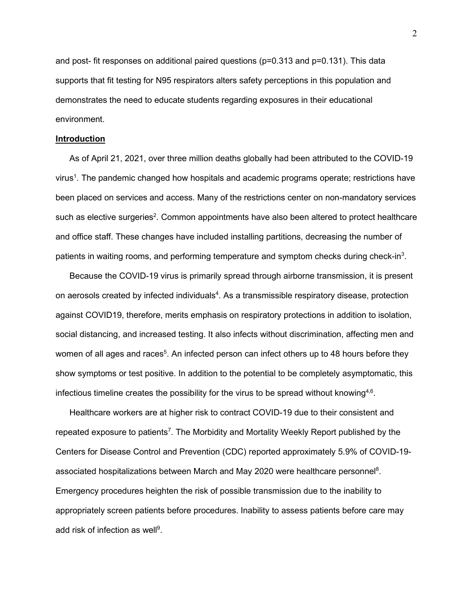and post- fit responses on additional paired questions (p=0.313 and p=0.131). This data supports that fit testing for N95 respirators alters safety perceptions in this population and demonstrates the need to educate students regarding exposures in their educational environment.

#### **Introduction**

As of April 21, 2021, over three million deaths globally had been attributed to the COVID-19 virus $^1$ . The pandemic changed how hospitals and academic programs operate; restrictions have been placed on services and access. Many of the restrictions center on non-mandatory services such as elective surgeries<sup>2</sup>. Common appointments have also been altered to protect healthcare and office staff. These changes have included installing partitions, decreasing the number of patients in waiting rooms, and performing temperature and symptom checks during check-in<sup>3</sup>.

Because the COVID-19 virus is primarily spread through airborne transmission, it is present on aerosols created by infected individuals<sup>4</sup>. As a transmissible respiratory disease, protection against COVID19, therefore, merits emphasis on respiratory protections in addition to isolation, social distancing, and increased testing. It also infects without discrimination, affecting men and women of all ages and races $^5$ . An infected person can infect others up to 48 hours before they show symptoms or test positive. In addition to the potential to be completely asymptomatic, this infectious timeline creates the possibility for the virus to be spread without knowing $^{4,6}.$ 

Healthcare workers are at higher risk to contract COVID-19 due to their consistent and repeated exposure to patients<sup>7</sup>. The Morbidity and Mortality Weekly Report published by the Centers for Disease Control and Prevention (CDC) reported approximately 5.9% of COVID-19 associated hospitalizations between March and May 2020 were healthcare personnel<sup>8</sup>. Emergency procedures heighten the risk of possible transmission due to the inability to appropriately screen patients before procedures. Inability to assess patients before care may add risk of infection as well $^9$ .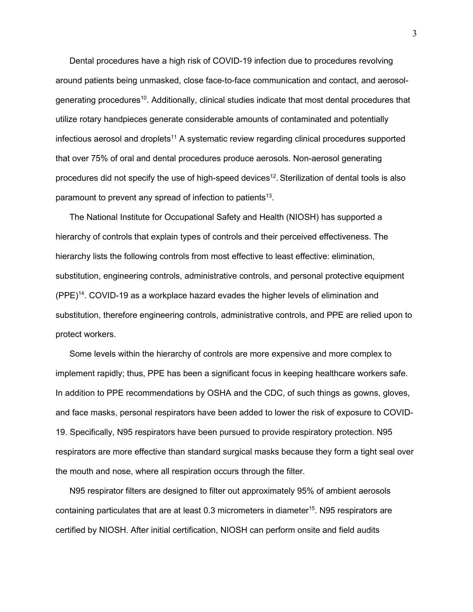Dental procedures have a high risk of COVID-19 infection due to procedures revolving around patients being unmasked, close face-to-face communication and contact, and aerosolgenerating procedures10. Additionally, clinical studies indicate that most dental procedures that utilize rotary handpieces generate considerable amounts of contaminated and potentially infectious aerosol and droplets<sup>11</sup> A systematic review regarding clinical procedures supported that over 75% of oral and dental procedures produce aerosols. Non-aerosol generating procedures did not specify the use of high-speed devices<sup>12</sup>. Sterilization of dental tools is also paramount to prevent any spread of infection to patients<sup>13</sup>.

The National Institute for Occupational Safety and Health (NIOSH) has supported a hierarchy of controls that explain types of controls and their perceived effectiveness. The hierarchy lists the following controls from most effective to least effective: elimination, substitution, engineering controls, administrative controls, and personal protective equipment (PPE) 14. COVID-19 as a workplace hazard evades the higher levels of elimination and substitution, therefore engineering controls, administrative controls, and PPE are relied upon to protect workers.

Some levels within the hierarchy of controls are more expensive and more complex to implement rapidly; thus, PPE has been a significant focus in keeping healthcare workers safe. In addition to PPE recommendations by OSHA and the CDC, of such things as gowns, gloves, and face masks, personal respirators have been added to lower the risk of exposure to COVID-19. Specifically, N95 respirators have been pursued to provide respiratory protection. N95 respirators are more effective than standard surgical masks because they form a tight seal over the mouth and nose, where all respiration occurs through the filter.

N95 respirator filters are designed to filter out approximately 95% of ambient aerosols containing particulates that are at least 0.3 micrometers in diameter $^{15}$ . N95 respirators are certified by NIOSH. After initial certification, NIOSH can perform onsite and field audits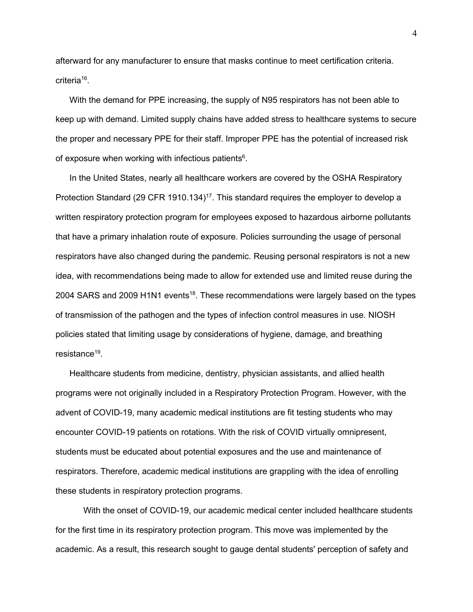afterward for any manufacturer to ensure that masks continue to meet certification criteria. criteria<sup>16</sup>.

With the demand for PPE increasing, the supply of N95 respirators has not been able to keep up with demand. Limited supply chains have added stress to healthcare systems to secure the proper and necessary PPE for their staff. Improper PPE has the potential of increased risk of exposure when working with infectious patients $\rm ^6$ .

In the United States, nearly all healthcare workers are covered by the OSHA Respiratory Protection Standard (29 CFR 1910.134)<sup>17</sup>. This standard requires the employer to develop a written respiratory protection program for employees exposed to hazardous airborne pollutants that have a primary inhalation route of exposure. Policies surrounding the usage of personal respirators have also changed during the pandemic. Reusing personal respirators is not a new idea, with recommendations being made to allow for extended use and limited reuse during the 2004 SARS and 2009 H1N1 events<sup>18</sup>. These recommendations were largely based on the types of transmission of the pathogen and the types of infection control measures in use. NIOSH policies stated that limiting usage by considerations of hygiene, damage, and breathing resistance $19$ .

Healthcare students from medicine, dentistry, physician assistants, and allied health programs were not originally included in a Respiratory Protection Program. However, with the advent of COVID-19, many academic medical institutions are fit testing students who may encounter COVID-19 patients on rotations. With the risk of COVID virtually omnipresent, students must be educated about potential exposures and the use and maintenance of respirators. Therefore, academic medical institutions are grappling with the idea of enrolling these students in respiratory protection programs.

With the onset of COVID-19, our academic medical center included healthcare students for the first time in its respiratory protection program. This move was implemented by the academic. As a result, this research sought to gauge dental students' perception of safety and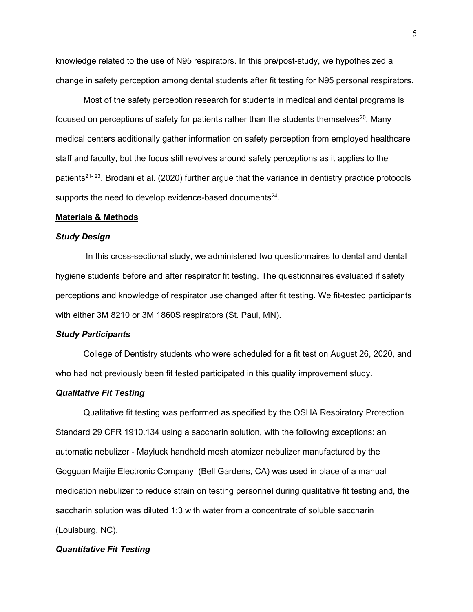knowledge related to the use of N95 respirators. In this pre/post-study, we hypothesized a change in safety perception among dental students after fit testing for N95 personal respirators.

Most of the safety perception research for students in medical and dental programs is focused on perceptions of safety for patients rather than the students themselves<sup>20</sup>. Many medical centers additionally gather information on safety perception from employed healthcare staff and faculty, but the focus still revolves around safety perceptions as it applies to the patients<sup>21-23</sup>. Brodani et al. (2020) further argue that the variance in dentistry practice protocols supports the need to develop evidence-based documents $24$ .

### **Materials & Methods**

### *Study Design*

In this cross-sectional study, we administered two questionnaires to dental and dental hygiene students before and after respirator fit testing. The questionnaires evaluated if safety perceptions and knowledge of respirator use changed after fit testing. We fit-tested participants with either 3M 8210 or 3M 1860S respirators (St. Paul, MN).

### *Study Participants*

College of Dentistry students who were scheduled for a fit test on August 26, 2020, and who had not previously been fit tested participated in this quality improvement study.

### *Qualitative Fit Testing*

Qualitative fit testing was performed as specified by the OSHA Respiratory Protection Standard 29 CFR 1910.134 using a saccharin solution, with the following exceptions: an automatic nebulizer - Mayluck handheld mesh atomizer nebulizer manufactured by the Gogguan Maijie Electronic Company (Bell Gardens, CA) was used in place of a manual medication nebulizer to reduce strain on testing personnel during qualitative fit testing and, the saccharin solution was diluted 1:3 with water from a concentrate of soluble saccharin (Louisburg, NC).

### *Quantitative Fit Testing*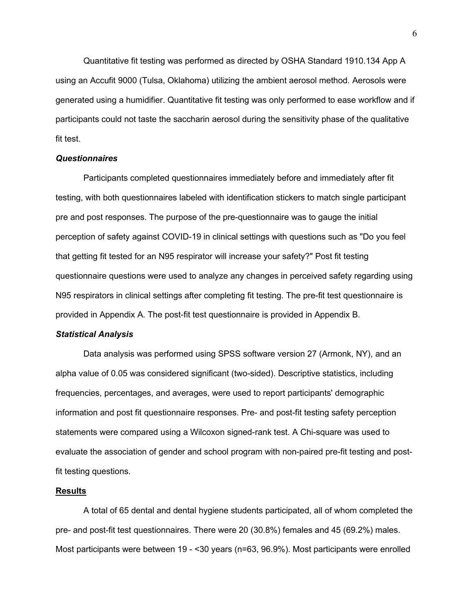Quantitative fit testing was performed as directed by OSHA Standard 1910.134 App A using an Accufit 9000 (Tulsa, Oklahoma) utilizing the ambient aerosol method. Aerosols were generated using a humidifier. Quantitative fit testing was only performed to ease workflow and if participants could not taste the saccharin aerosol during the sensitivity phase of the qualitative fit test.

### *Questionnaires*

Participants completed questionnaires immediately before and immediately after fit testing, with both questionnaires labeled with identification stickers to match single participant pre and post responses. The purpose of the pre-questionnaire was to gauge the initial perception of safety against COVID-19 in clinical settings with questions such as "Do you feel that getting fit tested for an N95 respirator will increase your safety?" Post fit testing questionnaire questions were used to analyze any changes in perceived safety regarding using N95 respirators in clinical settings after completing fit testing. The pre-fit test questionnaire is provided in Appendix A. The post-fit test questionnaire is provided in Appendix B.

### *Statistical Analysis*

Data analysis was performed using SPSS software version 27 (Armonk, NY), and an alpha value of 0.05 was considered significant (two-sided). Descriptive statistics, including frequencies, percentages, and averages, were used to report participants' demographic information and post fit questionnaire responses. Pre- and post-fit testing safety perception statements were compared using a Wilcoxon signed-rank test. A Chi-square was used to evaluate the association of gender and school program with non-paired pre-fit testing and postfit testing questions.

### **Results**

A total of 65 dental and dental hygiene students participated, all of whom completed the pre- and post-fit test questionnaires. There were 20 (30.8%) females and 45 (69.2%) males. Most participants were between 19 - <30 years (n=63, 96.9%). Most participants were enrolled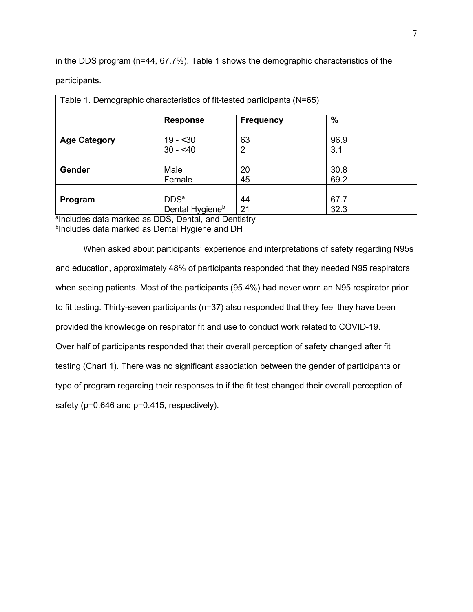in the DDS program (n=44, 67.7%). Table 1 shows the demographic characteristics of the participants.

|                     | Table 1. Demographic characteristics of fit-tested participants (N=65) |                  |               |  |
|---------------------|------------------------------------------------------------------------|------------------|---------------|--|
|                     | <b>Response</b>                                                        | <b>Frequency</b> | $\frac{9}{6}$ |  |
| <b>Age Category</b> | $19 - 30$<br>$30 - 40$                                                 | 63<br>2          | 96.9<br>3.1   |  |
| Gender              | Male<br>Female                                                         | 20<br>45         | 30.8<br>69.2  |  |
| Program             | DDS <sup>a</sup><br>Dental Hygiene <sup>b</sup>                        | 44<br>21         | 67.7<br>32.3  |  |

a Includes data marked as DDS, Dental, and Dentistry b Includes data marked as Dental Hygiene and DH

When asked about participants' experience and interpretations of safety regarding N95s and education, approximately 48% of participants responded that they needed N95 respirators when seeing patients. Most of the participants (95.4%) had never worn an N95 respirator prior to fit testing. Thirty-seven participants (n=37) also responded that they feel they have been provided the knowledge on respirator fit and use to conduct work related to COVID-19. Over half of participants responded that their overall perception of safety changed after fit testing (Chart 1). There was no significant association between the gender of participants or type of program regarding their responses to if the fit test changed their overall perception of safety (p=0.646 and p=0.415, respectively).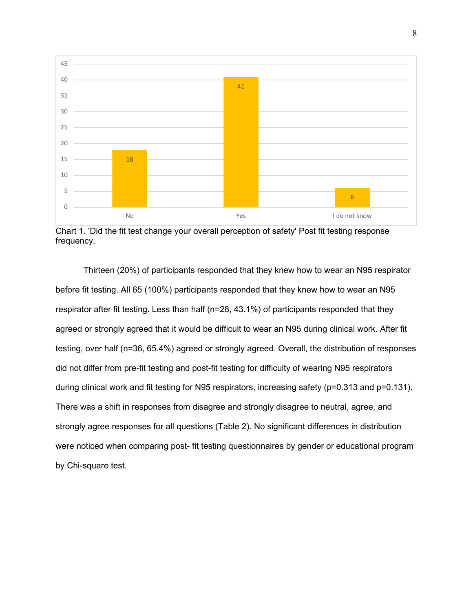

Chart 1. 'Did the fit test change your overall perception of safety' Post fit testing response frequency.

Thirteen (20%) of participants responded that they knew how to wear an N95 respirator before fit testing. All 65 (100%) participants responded that they knew how to wear an N95 respirator after fit testing. Less than half (n=28, 43.1%) of participants responded that they agreed or strongly agreed that it would be difficult to wear an N95 during clinical work. After fit testing, over half (n=36, 65.4%) agreed or strongly agreed. Overall, the distribution of responses did not differ from pre-fit testing and post-fit testing for difficulty of wearing N95 respirators during clinical work and fit testing for N95 respirators, increasing safety (p=0.313 and p=0.131). There was a shift in responses from disagree and strongly disagree to neutral, agree, and strongly agree responses for all questions (Table 2). No significant differences in distribution were noticed when comparing post- fit testing questionnaires by gender or educational program by Chi-square test.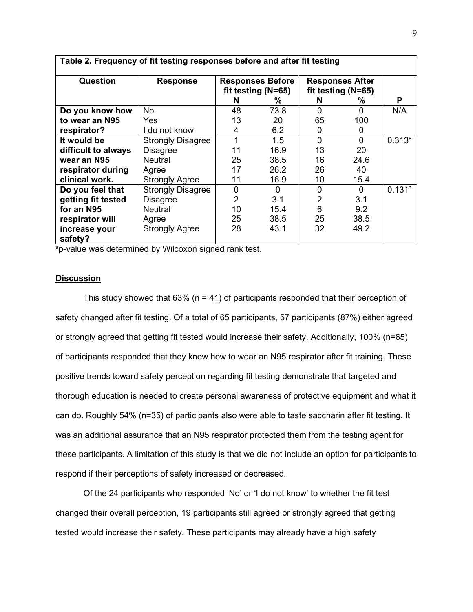| Table 2. Frequency of fit testing responses before and after fit testing |                          |                                               |          |                                              |          |                    |  |  |  |
|--------------------------------------------------------------------------|--------------------------|-----------------------------------------------|----------|----------------------------------------------|----------|--------------------|--|--|--|
| Question                                                                 | <b>Response</b>          | <b>Responses Before</b><br>fit testing (N=65) |          | <b>Responses After</b><br>fit testing (N=65) |          |                    |  |  |  |
|                                                                          |                          | N                                             | ℅        | N                                            | ℅        | P                  |  |  |  |
| Do you know how                                                          | No.                      | 48                                            | 73.8     | 0                                            | 0        | N/A                |  |  |  |
| to wear an N95                                                           | Yes                      | 13                                            | 20       | 65                                           | 100      |                    |  |  |  |
| respirator?                                                              | I do not know            | 4                                             | 6.2      | 0                                            | 0        |                    |  |  |  |
| It would be                                                              | <b>Strongly Disagree</b> |                                               | 1.5      | 0                                            | $\Omega$ | 0.313a             |  |  |  |
| difficult to always                                                      | <b>Disagree</b>          | 11                                            | 16.9     | 13                                           | 20       |                    |  |  |  |
| wear an N95                                                              | <b>Neutral</b>           | 25                                            | 38.5     | 16                                           | 24.6     |                    |  |  |  |
| respirator during                                                        | Agree                    | 17                                            | 26.2     | 26                                           | 40       |                    |  |  |  |
| clinical work.                                                           | <b>Strongly Agree</b>    | 11                                            | 16.9     | 10                                           | 15.4     |                    |  |  |  |
| Do you feel that                                                         | <b>Strongly Disagree</b> | $\overline{0}$                                | $\Omega$ | 0                                            | 0        | 0.131 <sup>a</sup> |  |  |  |
| getting fit tested                                                       | <b>Disagree</b>          | 2                                             | 3.1      | $\overline{2}$                               | 3.1      |                    |  |  |  |
| for an N95                                                               | <b>Neutral</b>           | 10                                            | 15.4     | 6                                            | 9.2      |                    |  |  |  |
| respirator will                                                          | Agree                    | 25                                            | 38.5     | 25                                           | 38.5     |                    |  |  |  |
| increase your                                                            | <b>Strongly Agree</b>    | 28                                            | 43.1     | 32                                           | 49.2     |                    |  |  |  |
| safety?                                                                  |                          |                                               |          |                                              |          |                    |  |  |  |

<sup>a</sup>p-value was determined by Wilcoxon signed rank test.

# **Discussion**

This study showed that  $63\%$  (n = 41) of participants responded that their perception of safety changed after fit testing. Of a total of 65 participants, 57 participants (87%) either agreed or strongly agreed that getting fit tested would increase their safety. Additionally, 100% (n=65) of participants responded that they knew how to wear an N95 respirator after fit training. These positive trends toward safety perception regarding fit testing demonstrate that targeted and thorough education is needed to create personal awareness of protective equipment and what it can do. Roughly 54% (n=35) of participants also were able to taste saccharin after fit testing. It was an additional assurance that an N95 respirator protected them from the testing agent for these participants. A limitation of this study is that we did not include an option for participants to respond if their perceptions of safety increased or decreased.

Of the 24 participants who responded 'No' or 'I do not know' to whether the fit test changed their overall perception, 19 participants still agreed or strongly agreed that getting tested would increase their safety. These participants may already have a high safety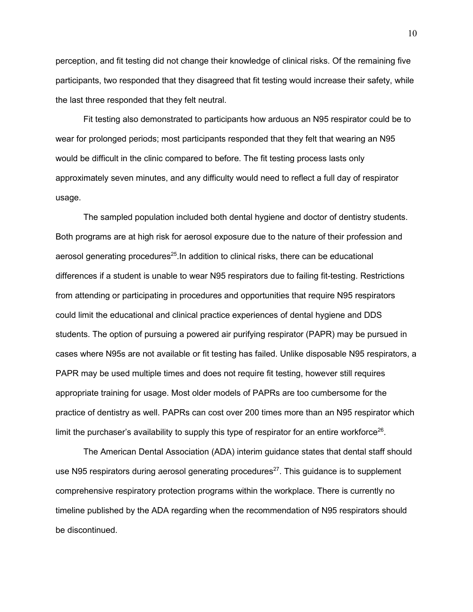perception, and fit testing did not change their knowledge of clinical risks. Of the remaining five participants, two responded that they disagreed that fit testing would increase their safety, while the last three responded that they felt neutral.

Fit testing also demonstrated to participants how arduous an N95 respirator could be to wear for prolonged periods; most participants responded that they felt that wearing an N95 would be difficult in the clinic compared to before. The fit testing process lasts only approximately seven minutes, and any difficulty would need to reflect a full day of respirator usage.

The sampled population included both dental hygiene and doctor of dentistry students. Both programs are at high risk for aerosol exposure due to the nature of their profession and aerosol generating procedures $25$ . In addition to clinical risks, there can be educational differences if a student is unable to wear N95 respirators due to failing fit-testing. Restrictions from attending or participating in procedures and opportunities that require N95 respirators could limit the educational and clinical practice experiences of dental hygiene and DDS students. The option of pursuing a powered air purifying respirator (PAPR) may be pursued in cases where N95s are not available or fit testing has failed. Unlike disposable N95 respirators, a PAPR may be used multiple times and does not require fit testing, however still requires appropriate training for usage. Most older models of PAPRs are too cumbersome for the practice of dentistry as well. PAPRs can cost over 200 times more than an N95 respirator which limit the purchaser's availability to supply this type of respirator for an entire workforce<sup>26</sup>.

The American Dental Association (ADA) interim guidance states that dental staff should use N95 respirators during aerosol generating procedures $27$ . This guidance is to supplement comprehensive respiratory protection programs within the workplace. There is currently no timeline published by the ADA regarding when the recommendation of N95 respirators should be discontinued.

10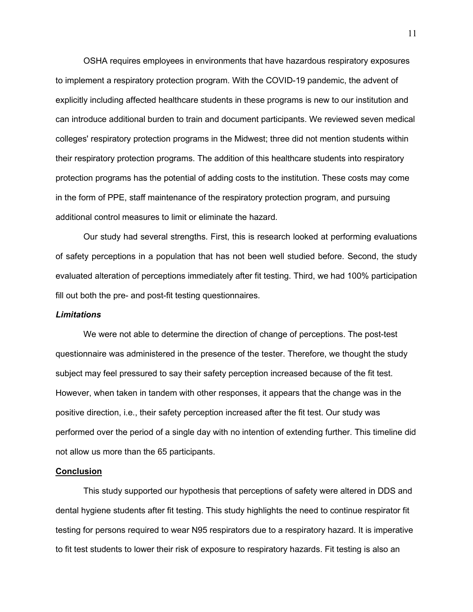OSHA requires employees in environments that have hazardous respiratory exposures to implement a respiratory protection program. With the COVID-19 pandemic, the advent of explicitly including affected healthcare students in these programs is new to our institution and can introduce additional burden to train and document participants. We reviewed seven medical colleges' respiratory protection programs in the Midwest; three did not mention students within their respiratory protection programs. The addition of this healthcare students into respiratory protection programs has the potential of adding costs to the institution. These costs may come in the form of PPE, staff maintenance of the respiratory protection program, and pursuing additional control measures to limit or eliminate the hazard.

Our study had several strengths. First, this is research looked at performing evaluations of safety perceptions in a population that has not been well studied before. Second, the study evaluated alteration of perceptions immediately after fit testing. Third, we had 100% participation fill out both the pre- and post-fit testing questionnaires.

### *Limitations*

We were not able to determine the direction of change of perceptions. The post-test questionnaire was administered in the presence of the tester. Therefore, we thought the study subject may feel pressured to say their safety perception increased because of the fit test. However, when taken in tandem with other responses, it appears that the change was in the positive direction, i.e., their safety perception increased after the fit test. Our study was performed over the period of a single day with no intention of extending further. This timeline did not allow us more than the 65 participants.

#### **Conclusion**

This study supported our hypothesis that perceptions of safety were altered in DDS and dental hygiene students after fit testing. This study highlights the need to continue respirator fit testing for persons required to wear N95 respirators due to a respiratory hazard. It is imperative to fit test students to lower their risk of exposure to respiratory hazards. Fit testing is also an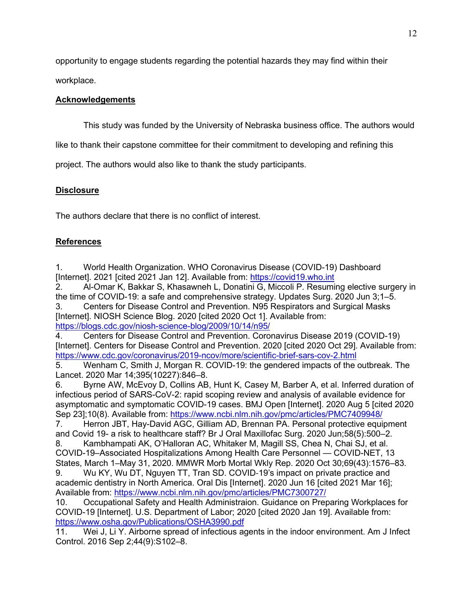opportunity to engage students regarding the potential hazards they may find within their

workplace.

# **Acknowledgements**

This study was funded by the University of Nebraska business office. The authors would

like to thank their capstone committee for their commitment to developing and refining this

project. The authors would also like to thank the study participants.

# **Disclosure**

The authors declare that there is no conflict of interest.

# **References**

1. World Health Organization. WHO Coronavirus Disease (COVID-19) Dashboard [Internet]. 2021 [cited 2021 Jan 12]. Available from: [https://covid19.who.int](https://covid19.who.int/)

2. Al-Omar K, Bakkar S, Khasawneh L, Donatini G, Miccoli P. Resuming elective surgery in the time of COVID-19: a safe and comprehensive strategy. Updates Surg. 2020 Jun 3;1–5.

3. Centers for Disease Control and Prevention. N95 Respirators and Surgical Masks [Internet]. NIOSH Science Blog. 2020 [cited 2020 Oct 1]. Available from: <https://blogs.cdc.gov/niosh-science-blog/2009/10/14/n95/>

4. Centers for Disease Control and Prevention. Coronavirus Disease 2019 (COVID-19) [Internet]. Centers for Disease Control and Prevention. 2020 [cited 2020 Oct 29]. Available from: <https://www.cdc.gov/coronavirus/2019-ncov/more/scientific-brief-sars-cov-2.html>

5. Wenham C, Smith J, Morgan R. COVID-19: the gendered impacts of the outbreak. The Lancet. 2020 Mar 14;395(10227):846–8.

6. Byrne AW, McEvoy D, Collins AB, Hunt K, Casey M, Barber A, et al. Inferred duration of infectious period of SARS-CoV-2: rapid scoping review and analysis of available evidence for asymptomatic and symptomatic COVID-19 cases. BMJ Open [Internet]. 2020 Aug 5 [cited 2020 Sep 23];10(8). Available from:<https://www.ncbi.nlm.nih.gov/pmc/articles/PMC7409948/>

7. Herron JBT, Hay-David AGC, Gilliam AD, Brennan PA. Personal protective equipment and Covid 19- a risk to healthcare staff? Br J Oral Maxillofac Surg. 2020 Jun;58(5):500–2.

8. Kambhampati AK, O'Halloran AC, Whitaker M, Magill SS, Chea N, Chai SJ, et al. COVID-19–Associated Hospitalizations Among Health Care Personnel — COVID-NET, 13 States, March 1–May 31, 2020. MMWR Morb Mortal Wkly Rep. 2020 Oct 30;69(43):1576–83.

9. Wu KY, Wu DT, Nguyen TT, Tran SD. COVID‐19's impact on private practice and academic dentistry in North America. Oral Dis [Internet]. 2020 Jun 16 [cited 2021 Mar 16]; Available from:<https://www.ncbi.nlm.nih.gov/pmc/articles/PMC7300727/>

10. Occupational Safety and Health Administraion. Guidance on Preparing Workplaces for COVID-19 [Internet]. U.S. Department of Labor; 2020 [cited 2020 Jan 19]. Available from: <https://www.osha.gov/Publications/OSHA3990.pdf>

11. Wei J, Li Y. Airborne spread of infectious agents in the indoor environment. Am J Infect Control. 2016 Sep 2;44(9):S102–8.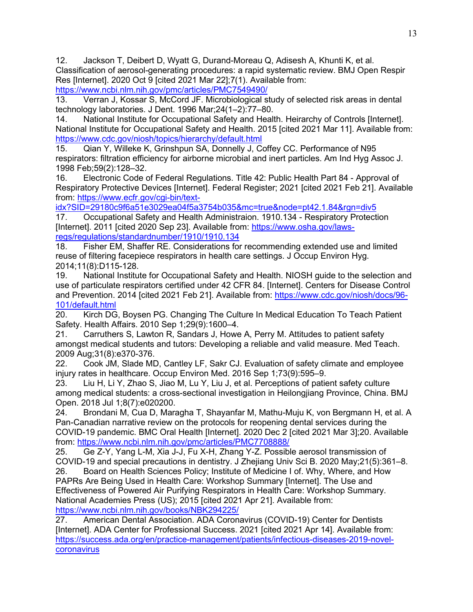12. Jackson T, Deibert D, Wyatt G, Durand-Moreau Q, Adisesh A, Khunti K, et al. Classification of aerosol-generating procedures: a rapid systematic review. BMJ Open Respir Res [Internet]. 2020 Oct 9 [cited 2021 Mar 22];7(1). Available from: <https://www.ncbi.nlm.nih.gov/pmc/articles/PMC7549490/>

13. Verran J, Kossar S, McCord JF. Microbiological study of selected risk areas in dental technology laboratories. J Dent. 1996 Mar;24(1–2):77–80.

14. National Institute for Occupational Safety and Health. Heirarchy of Controls [Internet]. National Institute for Occupational Safety and Health. 2015 [cited 2021 Mar 11]. Available from: <https://www.cdc.gov/niosh/topics/hierarchy/default.html>

15. Qian Y, Willeke K, Grinshpun SA, Donnelly J, Coffey CC. Performance of N95 respirators: filtration efficiency for airborne microbial and inert particles. Am Ind Hyg Assoc J. 1998 Feb;59(2):128–32.

16. Electronic Code of Federal Regulations. Title 42: Public Health Part 84 - Approval of Respiratory Protective Devices [Internet]. Federal Register; 2021 [cited 2021 Feb 21]. Available from: [https://www.ecfr.gov/cgi-bin/text-](https://www.ecfr.gov/cgi-bin/text-idx?SID=29180c9f6a51e3029ea04f5a3754b035&mc=true&node=pt42.1.84&rgn=div5)

[idx?SID=29180c9f6a51e3029ea04f5a3754b035&mc=true&node=pt42.1.84&rgn=div5](https://www.ecfr.gov/cgi-bin/text-idx?SID=29180c9f6a51e3029ea04f5a3754b035&mc=true&node=pt42.1.84&rgn=div5)

17. Occupational Safety and Health Administraion. 1910.134 - Respiratory Protection [Internet]. 2011 [cited 2020 Sep 23]. Available from: [https://www.osha.gov/laws](https://www.osha.gov/laws-regs/regulations/standardnumber/1910/1910.134)[regs/regulations/standardnumber/1910/1910.134](https://www.osha.gov/laws-regs/regulations/standardnumber/1910/1910.134)

18. Fisher EM, Shaffer RE. Considerations for recommending extended use and limited reuse of filtering facepiece respirators in health care settings. J Occup Environ Hyg. 2014;11(8):D115-128.

19. National Institute for Occupational Safety and Health. NIOSH guide to the selection and use of particulate respirators certified under 42 CFR 84. [Internet]. Centers for Disease Control and Prevention. 2014 [cited 2021 Feb 21]. Available from: [https://www.cdc.gov/niosh/docs/96-](https://www.cdc.gov/niosh/docs/96-101/default.html) [101/default.html](https://www.cdc.gov/niosh/docs/96-101/default.html)<br>20. Kirch DG

Kirch DG, Boysen PG. Changing The Culture In Medical Education To Teach Patient Safety. Health Affairs. 2010 Sep 1;29(9):1600–4.

21. Carruthers S, Lawton R, Sandars J, Howe A, Perry M. Attitudes to patient safety amongst medical students and tutors: Developing a reliable and valid measure. Med Teach. 2009 Aug;31(8):e370-376.

22. Cook JM, Slade MD, Cantley LF, Sakr CJ. Evaluation of safety climate and employee injury rates in healthcare. Occup Environ Med. 2016 Sep 1;73(9):595–9.

23. Liu H, Li Y, Zhao S, Jiao M, Lu Y, Liu J, et al. Perceptions of patient safety culture among medical students: a cross-sectional investigation in Heilongjiang Province, China. BMJ Open. 2018 Jul 1;8(7):e020200.

24. Brondani M, Cua D, Maragha T, Shayanfar M, Mathu-Muju K, von Bergmann H, et al. A Pan-Canadian narrative review on the protocols for reopening dental services during the COVID-19 pandemic. BMC Oral Health [Internet]. 2020 Dec 2 [cited 2021 Mar 3];20. Available from:<https://www.ncbi.nlm.nih.gov/pmc/articles/PMC7708888/>

25. Ge Z-Y, Yang L-M, Xia J-J, Fu X-H, Zhang Y-Z. Possible aerosol transmission of COVID-19 and special precautions in dentistry. J Zhejiang Univ Sci B. 2020 May;21(5):361–8.

26. Board on Health Sciences Policy; Institute of Medicine I of. Why, Where, and How PAPRs Are Being Used in Health Care: Workshop Summary [Internet]. The Use and Effectiveness of Powered Air Purifying Respirators in Health Care: Workshop Summary. National Academies Press (US); 2015 [cited 2021 Apr 21]. Available from:

<https://www.ncbi.nlm.nih.gov/books/NBK294225/><br>27. American Dental Association. ADA Coron 27. American Dental Association. ADA Coronavirus (COVID-19) Center for Dentists [Internet]. ADA Center for Professional Success. 2021 [cited 2021 Apr 14]. Available from: [https://success.ada.org/en/practice-management/patients/infectious-diseases-2019-novel](https://success.ada.org/en/practice-management/patients/infectious-diseases-2019-novel-coronavirus)[coronavirus](https://success.ada.org/en/practice-management/patients/infectious-diseases-2019-novel-coronavirus)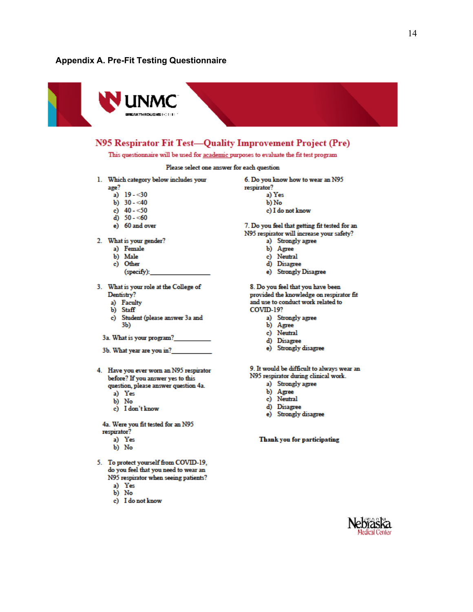#### **Appendix A. Pre-Fit Testing Questionnaire**



# N95 Respirator Fit Test-Quality Improvement Project (Pre)

This questionnaire will be used for academic purposes to evaluate the fit test program

Please select one answer for each question

1. Which category below includes your

age?

- a)  $19 30$
- b)  $30 40$ c)  $40 - 50$
- d)  $50 60$
- e) 60 and over
- 
- 2. What is your gender?
	- a) Female
	- b) Male
	- c) Other
	- (specify):
- 3. What is your role at the College of Dentistry?
	- a) Faculty
	- b) Staff
	- Student (please answer 3a and c) 3Ь)
	- 3a. What is your program?

3b. What year are you in?

- 4. Have you ever worn an N95 respirator before? If you answer yes to this question, please answer question 4a.
	- a) Yes
	- b) No
	- c) I don't know

4a. Were you fit tested for an N95 respirator?

- a) Yes
- b) No
- 5. To protect yourself from COVID-19, do you feel that you need to wear an N95 respirator when seeing patients?
	- a) Yes<br>b) No
	-
	- c) I do not know
- 6. Do you know how to wear an N95 respirator? a) Yes b) No
	- c) I do not know
	-

7. Do you feel that getting fit tested for an N95 respirator will increase your safety?

- a) Strongly agree
- b) Agree
- c) Neutral
- d) Disagree
- e) Strongly Disagree

8. Do you feel that you have been provided the knowledge on respirator fit and use to conduct work related to COVID-19?

- a) Strongly agree
- b) Agree
- c) Neutral
- d) Disagree
- e) Strongly disagree

9. It would be difficult to always wear an

- N95 respirator during clinical work.
	- a) Strongly agree
	- b) Agree c) Neutral
	-
	- d) Disagree
	- e) Strongly disagree

Thank you for participating

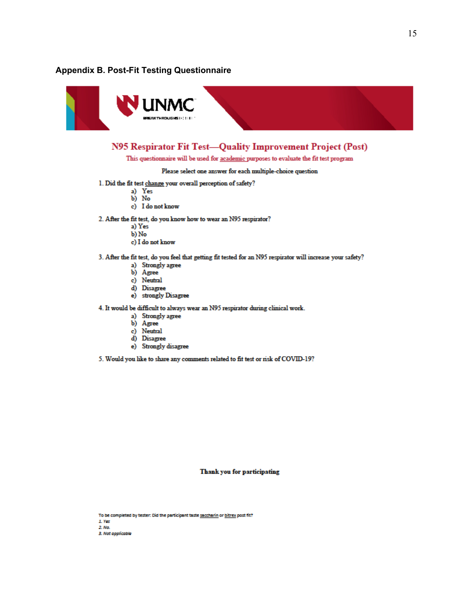### **Appendix B. Post-Fit Testing Questionnaire**



# N95 Respirator Fit Test-Quality Improvement Project (Post)

This questionnaire will be used for academic purposes to evaluate the fit test program

Please select one answer for each multiple-choice question

- 1. Did the fit test change your overall perception of safety?
	- a) Yes
	- $\overline{b}$ ) No
	- c) I do not know
- 2. After the fit test, do you know how to wear an N95 respirator?
	- a) Yes
	- $b)$  No
	- c) I do not know
- 3. After the fit test, do you feel that getting fit tested for an N95 respirator will increase your safety?
	- a) Strongly agree
	- b) Agree
	- c) Neutral
	- d) Disagree
	- e) strongly Disagree

4. It would be difficult to always wear an N95 respirator during clinical work.

- a) Strongly agree
- b) Agree
- 
- c) Neutral<br>d) Disagree
- e) Strongly disagree

5. Would you like to share any comments related to fit test or risk of COVID-19?

Thank you for participating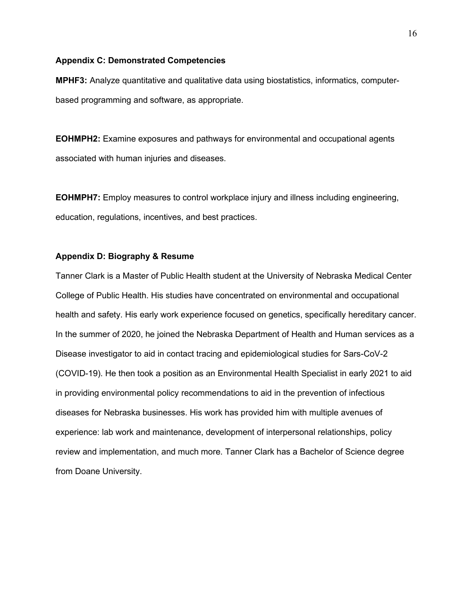#### **Appendix C: Demonstrated Competencies**

**MPHF3:** Analyze quantitative and qualitative data using biostatistics, informatics, computerbased programming and software, as appropriate.

**EOHMPH2:** Examine exposures and pathways for environmental and occupational agents associated with human injuries and diseases.

**EOHMPH7:** Employ measures to control workplace injury and illness including engineering, education, regulations, incentives, and best practices.

# **Appendix D: Biography & Resume**

Tanner Clark is a Master of Public Health student at the University of Nebraska Medical Center College of Public Health. His studies have concentrated on environmental and occupational health and safety. His early work experience focused on genetics, specifically hereditary cancer. In the summer of 2020, he joined the Nebraska Department of Health and Human services as a Disease investigator to aid in contact tracing and epidemiological studies for Sars-CoV-2 (COVID-19). He then took a position as an Environmental Health Specialist in early 2021 to aid in providing environmental policy recommendations to aid in the prevention of infectious diseases for Nebraska businesses. His work has provided him with multiple avenues of experience: lab work and maintenance, development of interpersonal relationships, policy review and implementation, and much more. Tanner Clark has a Bachelor of Science degree from Doane University.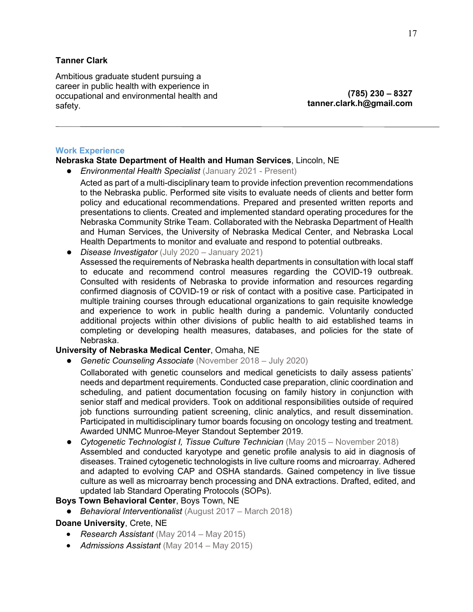# **Tanner Clark**

Ambitious graduate student pursuing a career in public health with experience in occupational and environmental health and safety.

**(785) 230 – 8327 [tanner.clark.h@gmail.com](mailto:tanner.clark.h@gmail.com)**

### **Work Experience**

# **Nebraska State Department of Health and Human Services**, Lincoln, NE

- *Environmental Health Specialist* (January 2021 Present)
	- Acted as part of a multi-disciplinary team to provide infection prevention recommendations to the Nebraska public. Performed site visits to evaluate needs of clients and better form policy and educational recommendations. Prepared and presented written reports and presentations to clients. Created and implemented standard operating procedures for the Nebraska Community Strike Team. Collaborated with the Nebraska Department of Health and Human Services, the University of Nebraska Medical Center, and Nebraska Local Health Departments to monitor and evaluate and respond to potential outbreaks.
- *Disease Investigator* (July 2020 January 2021)
	- Assessed the requirements of Nebraska health departments in consultation with local staff to educate and recommend control measures regarding the COVID-19 outbreak. Consulted with residents of Nebraska to provide information and resources regarding confirmed diagnosis of COVID-19 or risk of contact with a positive case. Participated in multiple training courses through educational organizations to gain requisite knowledge and experience to work in public health during a pandemic. Voluntarily conducted additional projects within other divisions of public health to aid established teams in completing or developing health measures, databases, and policies for the state of Nebraska.

# **University of Nebraska Medical Center**, Omaha, NE

● *Genetic Counseling Associate* (November 2018 – July 2020)

Collaborated with genetic counselors and medical geneticists to daily assess patients' needs and department requirements. Conducted case preparation, clinic coordination and scheduling, and patient documentation focusing on family history in conjunction with senior staff and medical providers. Took on additional responsibilities outside of required job functions surrounding patient screening, clinic analytics, and result dissemination. Participated in multidisciplinary tumor boards focusing on oncology testing and treatment. Awarded UNMC Munroe-Meyer Standout September 2019.

**• Cytogenetic Technologist I, Tissue Culture Technician** (May 2015 – November 2018) Assembled and conducted karyotype and genetic profile analysis to aid in diagnosis of diseases. Trained cytogenetic technologists in live culture rooms and microarray. Adhered and adapted to evolving CAP and OSHA standards. Gained competency in live tissue culture as well as microarray bench processing and DNA extractions. Drafted, edited, and updated lab Standard Operating Protocols (SOPs).

# **Boys Town Behavioral Center**, Boys Town, NE

● *Behavioral Interventionalist* (August 2017 – March 2018)

# **Doane University**, Crete, NE

- *Research Assistant* (May 2014 May 2015)
- *Admissions Assistant* (May 2014 May 2015)